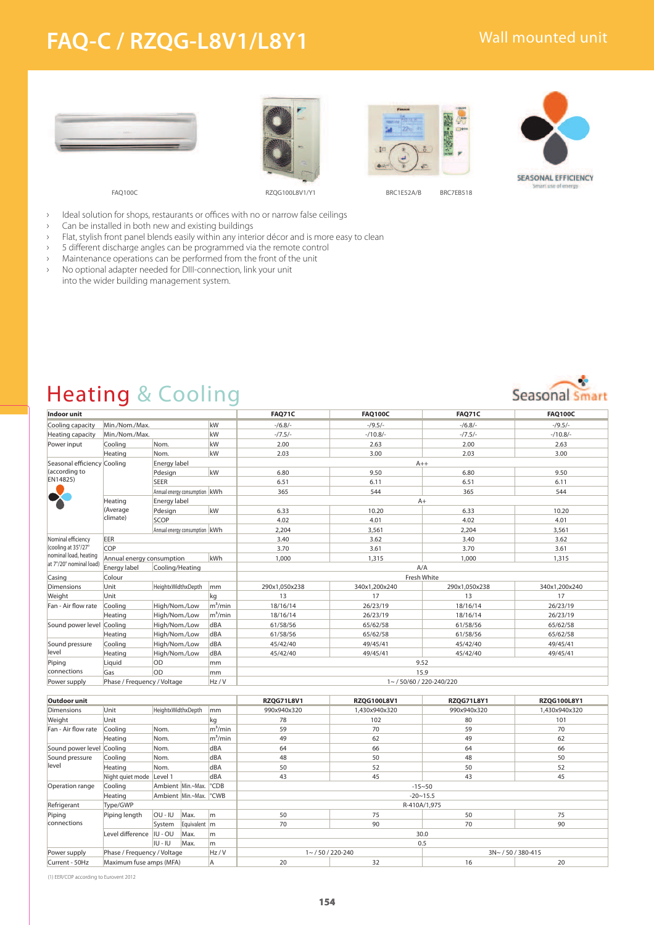## **FAQ-C / RZQG-L8V1/L8Y1**









- › Ideal solution for shops, restaurants or offices with no or narrow false ceilings
- › Can be installed in both new and existing buildings
- › Flat, stylish front panel blends easily within any interior décor and is more easy to clean
- > 5 different discharge angles can be programmed via the remote control
- › Maintenance operations can be performed from the front of the unit
- › No optional adapter needed for DIII-connection, link your unit into the wider building management system.

### Heating & Cooling

| Indoor unit                                  |                                     |                                 |            | <b>FAO71C</b>        | <b>FAQ100C</b> | <b>FAQ71C</b> | <b>FAQ100C</b> |  |
|----------------------------------------------|-------------------------------------|---------------------------------|------------|----------------------|----------------|---------------|----------------|--|
| Cooling capacity                             | Min./Nom./Max.                      |                                 | kW         | $-16.8$              | $-19.5/-$      | $-16.8$       | $-19.5/-$      |  |
| Heating capacity                             | Min./Nom./Max.                      |                                 | kW         | $-7.5/-$             | $-10.8/-$      | $-7.5/-$      | $-10.8/-$      |  |
| Power input                                  | Cooling                             | Nom.                            | kW         | 2.00                 | 2.63           | 2.00          | 2.63           |  |
|                                              | Heating                             | Nom.                            | kW         | 2.03                 | 3.00           | 2.03          | 3.00           |  |
| Seasonal efficiency Cooling<br>(according to |                                     | Energy label                    |            | $A++$                |                |               |                |  |
|                                              |                                     | Pdesign                         | kW         | 6.80                 | 9.50           | 6.80          | 9.50           |  |
| EN14825)                                     |                                     | <b>SEER</b>                     |            | 6.51                 | 6.11           | 6.51          | 6.11           |  |
|                                              |                                     | Annual energy consumption   kWh |            | 365                  | 544            | 365           | 544            |  |
|                                              | Heating                             | Energy label                    |            | $A+$                 |                |               |                |  |
|                                              | (Average                            | Pdesign                         | kW         | 6.33                 | 10.20          | 6.33          | 10.20          |  |
|                                              | climate)                            | SCOP                            |            | 4.02                 | 4.01           | 4.02          | 4.01           |  |
|                                              |                                     | Annual energy consumption   kWh |            | 2.204                | 3,561          | 2.204         | 3,561          |  |
| Nominal efficiency                           | <b>EER</b>                          |                                 |            | 3.40                 | 3.62           | 3.40          | 3.62           |  |
| (cooling at 35°/27°                          | <b>COP</b>                          |                                 |            | 3.70                 | 3.61           | 3.70          | 3.61           |  |
| nominal load, heating                        | kWh<br>Annual energy consumption    |                                 |            | 1.000                | 1,315          | 1,000         | 1,315          |  |
| at 7°/20° nominal load)                      | Energy label<br>Cooling/Heating     |                                 |            | A/A                  |                |               |                |  |
| Casing                                       | Colour                              |                                 |            | Fresh White          |                |               |                |  |
| <b>Dimensions</b>                            | Unit                                | HeightxWidthxDepth              |            | 290x1,050x238        | 340x1,200x240  | 290x1,050x238 | 340x1,200x240  |  |
| Weight                                       | Unit                                |                                 | kq         | 13                   | 17             | 13            | 17             |  |
| Fan - Air flow rate                          | Cooling                             | High/Nom./Low                   | $m^3/m$ in | 18/16/14             | 26/23/19       | 18/16/14      | 26/23/19       |  |
|                                              | Heating                             | High/Nom./Low                   | $m^3/m$ in | 18/16/14             | 26/23/19       | 18/16/14      | 26/23/19       |  |
| Sound power level Cooling                    |                                     | High/Nom./Low                   | dBA        | 61/58/56             | 65/62/58       | 61/58/56      | 65/62/58       |  |
|                                              | Heating                             | High/Nom./Low                   | dBA        | 61/58/56             | 65/62/58       | 61/58/56      | 65/62/58       |  |
| Sound pressure                               | Cooling                             | High/Nom./Low                   | dBA        | 45/42/40             | 49/45/41       | 45/42/40      | 49/45/41       |  |
| level                                        | Heating                             | High/Nom./Low                   | dBA        | 45/42/40             | 49/45/41       | 45/42/40      | 49/45/41       |  |
| Piping                                       | <b>OD</b><br>Liquid<br>mm           |                                 |            | 9.52                 |                |               |                |  |
| connections                                  | Gas                                 | <b>OD</b>                       | mm         | 15.9                 |                |               |                |  |
| Power supply                                 | Phase / Frequency / Voltage<br>Hz/V |                                 |            | 1~/50/60/220-240/220 |                |               |                |  |

| Outdoor unit              |                             |                    |                                    |                | <b>RZOG71L8V1</b>                                 | <b>RZOG100L8V1</b> | <b>RZQG71L8Y1</b> | <b>RZQG100L8Y1</b> |  |
|---------------------------|-----------------------------|--------------------|------------------------------------|----------------|---------------------------------------------------|--------------------|-------------------|--------------------|--|
| <b>Dimensions</b>         | Unit                        | HeightxWidthxDepth |                                    | mm             | 990x940x320                                       | 1.430x940x320      | 990x940x320       | 1.430x940x320      |  |
| Weight                    | Unit                        |                    |                                    | kg             | 78                                                | 102                | 80                | 101                |  |
| Fan - Air flow rate       | Cooling                     | Nom.               |                                    | $m^3/m$ in     | 59                                                | 70                 | 59                | 70                 |  |
|                           | Heating                     | Nom.               |                                    | $m^3/m$ in     | 49                                                | 62                 | 49                | 62                 |  |
| Sound power level Cooling |                             | Nom.               |                                    | dBA            | 64                                                | 66                 | 64                | 66                 |  |
| Sound pressure            | Cooling                     | Nom.               |                                    | <b>dBA</b>     | 48                                                | 50                 | 48                | 50                 |  |
| level                     | Heating                     | Nom.               |                                    | <b>dBA</b>     | 50                                                | 52                 | 50                | 52                 |  |
|                           | Night quiet mode Level 1    |                    |                                    | <b>dBA</b>     | 43                                                | 45                 | 43                | 45                 |  |
| Operation range           | Cooling                     |                    | Ambient Min.~Max.                  | $^{\circ}$ CDB | $-15 - 50$                                        |                    |                   |                    |  |
|                           | Heating                     |                    | Ambient Min.~Max. <sup>o</sup> CWB |                | $-20 \sim 15.5$                                   |                    |                   |                    |  |
| Refrigerant               | Type/GWP                    |                    |                                    |                | R-410A/1,975                                      |                    |                   |                    |  |
| Piping<br>connections     | Piping length               | OU - IU            | Max.                               | lm.            | 50                                                | 75                 | 50                | 75                 |  |
|                           |                             | System             | Equivalent m                       |                | 70                                                | 90                 | 70                | 90                 |  |
|                           | Level difference            | IU - OU            | Max.                               | lm.            | 30.0                                              |                    |                   |                    |  |
|                           |                             | IU - IU            | Max.                               | m              | 0.5                                               |                    |                   |                    |  |
| Power supply              | Phase / Frequency / Voltage |                    |                                    | Hz/V           | $1 \sim 750/220 - 240$<br>$3N \sim 750/380 - 415$ |                    |                   |                    |  |
| Current - 50Hz            | Maximum fuse amps (MFA)     |                    |                                    |                | 20                                                | 32                 | 16                | 20                 |  |

(1) EER/COP according to Eurovent 2012

# Seasonal Smart